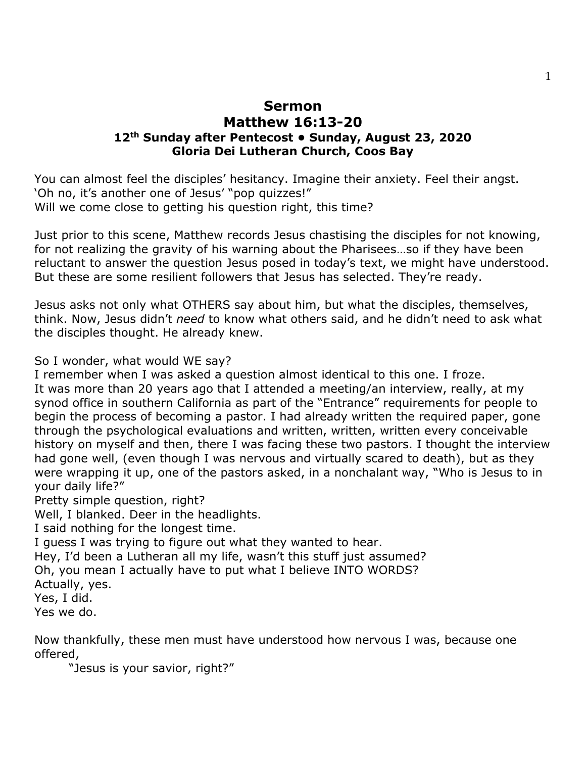## **Sermon Matthew 16:13-20 12th Sunday after Pentecost • Sunday, August 23, 2020 Gloria Dei Lutheran Church, Coos Bay**

You can almost feel the disciples' hesitancy. Imagine their anxiety. Feel their angst. 'Oh no, it's another one of Jesus' "pop quizzes!" Will we come close to getting his question right, this time?

Just prior to this scene, Matthew records Jesus chastising the disciples for not knowing, for not realizing the gravity of his warning about the Pharisees…so if they have been reluctant to answer the question Jesus posed in today's text, we might have understood. But these are some resilient followers that Jesus has selected. They're ready.

Jesus asks not only what OTHERS say about him, but what the disciples, themselves, think. Now, Jesus didn't *need* to know what others said, and he didn't need to ask what the disciples thought. He already knew.

So I wonder, what would WE say?

I remember when I was asked a question almost identical to this one. I froze. It was more than 20 years ago that I attended a meeting/an interview, really, at my synod office in southern California as part of the "Entrance" requirements for people to begin the process of becoming a pastor. I had already written the required paper, gone through the psychological evaluations and written, written, written every conceivable history on myself and then, there I was facing these two pastors. I thought the interview had gone well, (even though I was nervous and virtually scared to death), but as they were wrapping it up, one of the pastors asked, in a nonchalant way, "Who is Jesus to in your daily life?"

Pretty simple question, right?

Well, I blanked. Deer in the headlights.

I said nothing for the longest time.

I guess I was trying to figure out what they wanted to hear.

Hey, I'd been a Lutheran all my life, wasn't this stuff just assumed?

Oh, you mean I actually have to put what I believe INTO WORDS?

Actually, yes.

Yes, I did.

Yes we do.

Now thankfully, these men must have understood how nervous I was, because one offered,

"Jesus is your savior, right?"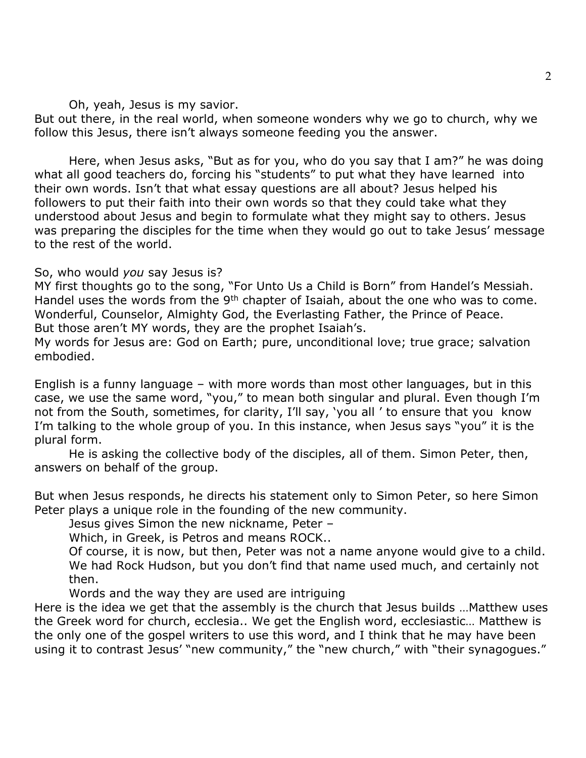Oh, yeah, Jesus is my savior.

But out there, in the real world, when someone wonders why we go to church, why we follow this Jesus, there isn't always someone feeding you the answer.

Here, when Jesus asks, "But as for you, who do you say that I am?" he was doing what all good teachers do, forcing his "students" to put what they have learned into their own words. Isn't that what essay questions are all about? Jesus helped his followers to put their faith into their own words so that they could take what they understood about Jesus and begin to formulate what they might say to others. Jesus was preparing the disciples for the time when they would go out to take Jesus' message to the rest of the world.

## So, who would *you* say Jesus is?

MY first thoughts go to the song, "For Unto Us a Child is Born" from Handel's Messiah. Handel uses the words from the 9<sup>th</sup> chapter of Isaiah, about the one who was to come. Wonderful, Counselor, Almighty God, the Everlasting Father, the Prince of Peace. But those aren't MY words, they are the prophet Isaiah's.

My words for Jesus are: God on Earth; pure, unconditional love; true grace; salvation embodied.

English is a funny language – with more words than most other languages, but in this case, we use the same word, "you," to mean both singular and plural. Even though I'm not from the South, sometimes, for clarity, I'll say, 'you all ' to ensure that you know I'm talking to the whole group of you. In this instance, when Jesus says "you" it is the plural form.

He is asking the collective body of the disciples, all of them. Simon Peter, then, answers on behalf of the group.

But when Jesus responds, he directs his statement only to Simon Peter, so here Simon Peter plays a unique role in the founding of the new community.

Jesus gives Simon the new nickname, Peter –

Which, in Greek, is Petros and means ROCK..

Of course, it is now, but then, Peter was not a name anyone would give to a child. We had Rock Hudson, but you don't find that name used much, and certainly not then.

Words and the way they are used are intriguing

Here is the idea we get that the assembly is the church that Jesus builds …Matthew uses the Greek word for church, ecclesia.. We get the English word, ecclesiastic… Matthew is the only one of the gospel writers to use this word, and I think that he may have been using it to contrast Jesus' "new community," the "new church," with "their synagogues."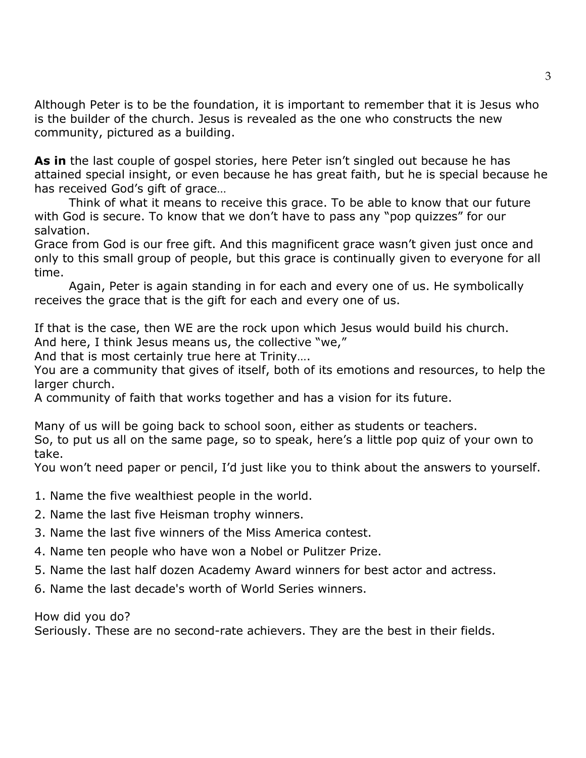Although Peter is to be the foundation, it is important to remember that it is Jesus who is the builder of the church. Jesus is revealed as the one who constructs the new community, pictured as a building.

**As in** the last couple of gospel stories, here Peter isn't singled out because he has attained special insight, or even because he has great faith, but he is special because he has received God's gift of grace…

Think of what it means to receive this grace. To be able to know that our future with God is secure. To know that we don't have to pass any "pop quizzes" for our salvation.

Grace from God is our free gift. And this magnificent grace wasn't given just once and only to this small group of people, but this grace is continually given to everyone for all time.

Again, Peter is again standing in for each and every one of us. He symbolically receives the grace that is the gift for each and every one of us.

If that is the case, then WE are the rock upon which Jesus would build his church. And here, I think Jesus means us, the collective "we,"

And that is most certainly true here at Trinity….

You are a community that gives of itself, both of its emotions and resources, to help the larger church.

A community of faith that works together and has a vision for its future.

Many of us will be going back to school soon, either as students or teachers. So, to put us all on the same page, so to speak, here's a little pop quiz of your own to take.

You won't need paper or pencil, I'd just like you to think about the answers to yourself.

- 1. Name the five wealthiest people in the world.
- 2. Name the last five Heisman trophy winners.
- 3. Name the last five winners of the Miss America contest.
- 4. Name ten people who have won a Nobel or Pulitzer Prize.
- 5. Name the last half dozen Academy Award winners for best actor and actress.
- 6. Name the last decade's worth of World Series winners.

How did you do?

Seriously. These are no second-rate achievers. They are the best in their fields.